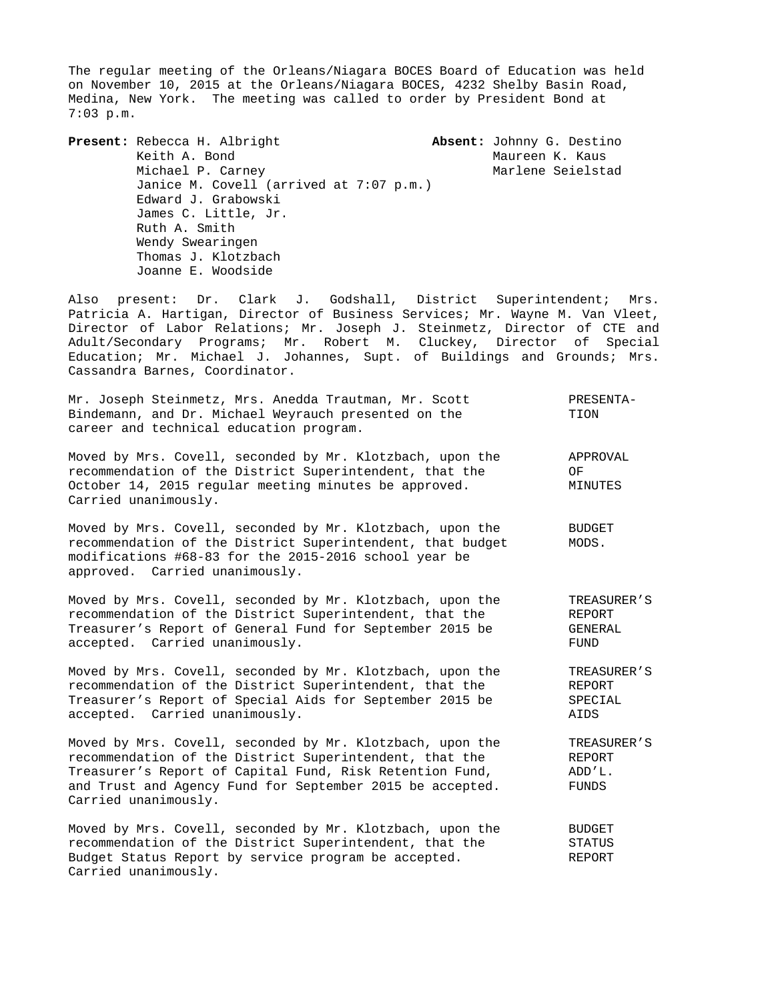The regular meeting of the Orleans/Niagara BOCES Board of Education was held on November 10, 2015 at the Orleans/Niagara BOCES, 4232 Shelby Basin Road, Medina, New York. The meeting was called to order by President Bond at 7:03 p.m.

**Present:** Rebecca H. Albright **Absent:** Johnny G. Destino Keith A. Bond Maureen K. Kaus Michael P. Carney **Marlene Seielstad** Janice M. Covell (arrived at 7:07 p.m.) Edward J. Grabowski James C. Little, Jr. Ruth A. Smith Wendy Swearingen Thomas J. Klotzbach Joanne E. Woodside

Also present: Dr. Clark J. Godshall, District Superintendent; Mrs. Patricia A. Hartigan, Director of Business Services; Mr. Wayne M. Van Vleet, Director of Labor Relations; Mr. Joseph J. Steinmetz, Director of CTE and Adult/Secondary Programs; Mr. Robert M. Cluckey, Director of Special Education; Mr. Michael J. Johannes, Supt. of Buildings and Grounds; Mrs. Cassandra Barnes, Coordinator.

|                                         | Mr. Joseph Steinmetz, Mrs. Anedda Trautman, Mr. Scott | PRESENTA- |
|-----------------------------------------|-------------------------------------------------------|-----------|
|                                         | Bindemann, and Dr. Michael Weyrauch presented on the  | TION      |
| career and technical education program. |                                                       |           |

Moved by Mrs. Covell, seconded by Mr. Klotzbach, upon the APPROVAL recommendation of the District Superintendent, that the OF October 14, 2015 regular meeting minutes be approved. MINUTES Carried unanimously.

Moved by Mrs. Covell, seconded by Mr. Klotzbach, upon the BUDGET recommendation of the District Superintendent, that budget MODS. modifications #68-83 for the 2015-2016 school year be approved. Carried unanimously.

Moved by Mrs. Covell, seconded by Mr. Klotzbach, upon the TREASURER'S recommendation of the District Superintendent, that the REPORT Treasurer's Report of General Fund for September 2015 be GENERAL accepted. Carried unanimously. The contract of the second state of the second state of the second state of the

Moved by Mrs. Covell, seconded by Mr. Klotzbach, upon the TREASURER'S recommendation of the District Superintendent, that the REPORT<br>Treasurer's Report of Special Aids for September 2015 be SPECIAL Treasurer's Report of Special Aids for September 2015 be accepted. Carried unanimously. AIDS

Moved by Mrs. Covell, seconded by Mr. Klotzbach, upon the TREASURER'S recommendation of the District Superintendent, that the REPORT Treasurer's Report of Capital Fund, Risk Retention Fund, ADD'L. and Trust and Agency Fund for September 2015 be accepted. FUNDS Carried unanimously.

Moved by Mrs. Covell, seconded by Mr. Klotzbach, upon the BUDGET recommendation of the District Superintendent, that the STATUS Budget Status Report by service program be accepted. REPORT Carried unanimously.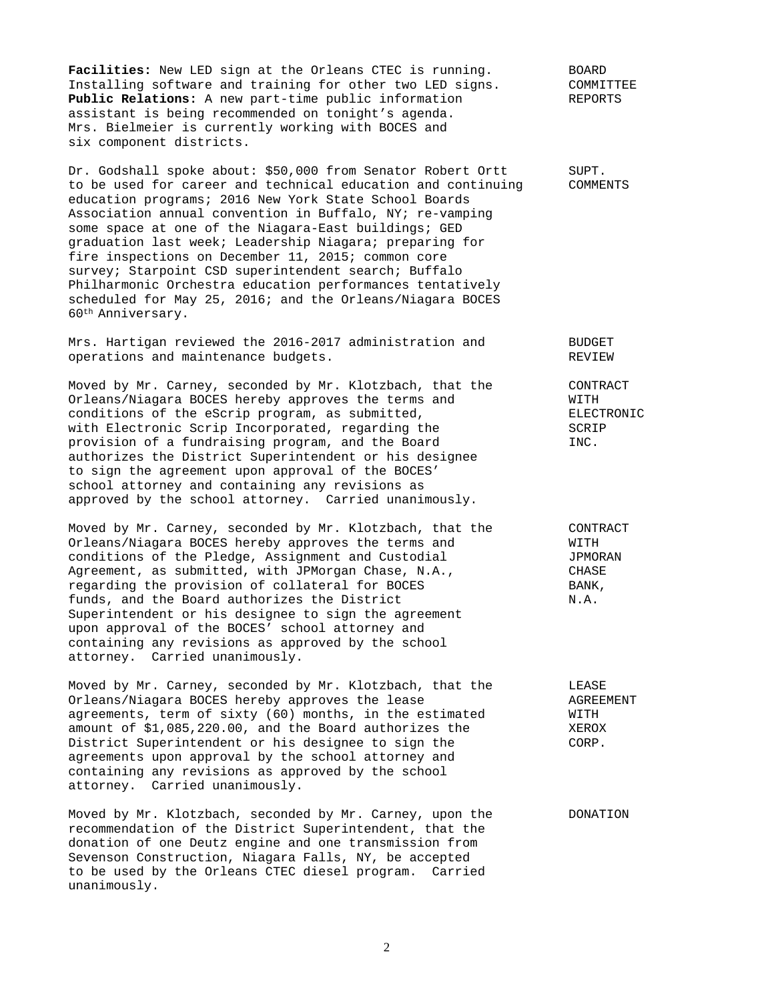**Facilities:** New LED sign at the Orleans CTEC is running. BOARD Installing software and training for other two LED signs. COMMITTEE **Public Relations:** A new part-time public information REPORTS assistant is being recommended on tonight's agenda. Mrs. Bielmeier is currently working with BOCES and six component districts.

Dr. Godshall spoke about: \$50,000 from Senator Robert Ortt SUPT. to be used for career and technical education and continuing COMMENTS education programs; 2016 New York State School Boards Association annual convention in Buffalo, NY; re-vamping some space at one of the Niagara-East buildings; GED graduation last week; Leadership Niagara; preparing for fire inspections on December 11, 2015; common core survey; Starpoint CSD superintendent search; Buffalo Philharmonic Orchestra education performances tentatively scheduled for May 25, 2016; and the Orleans/Niagara BOCES 60th Anniversary.

Mrs. Hartigan reviewed the 2016-2017 administration and BUDGET operations and maintenance budgets. The main operations of REVIEW

Moved by Mr. Carney, seconded by Mr. Klotzbach, that the CONTRACT Orleans/Niagara BOCES hereby approves the terms and WITH conditions of the eScrip program, as submitted,<br>with Electronic Scrip Incorporated, regarding the SCRIP SCRIP with Electronic Scrip Incorporated, regarding the provision of a fundraising program, and the Board INC. authorizes the District Superintendent or his designee to sign the agreement upon approval of the BOCES' school attorney and containing any revisions as approved by the school attorney. Carried unanimously.

Moved by Mr. Carney, seconded by Mr. Klotzbach, that the CONTRACT Orleans/Niagara BOCES hereby approves the terms and WITH conditions of the Pledge, Assignment and Custodial JPMORAN Agreement, as submitted, with JPMorgan Chase, N.A., CHASE regarding the provision of collateral for BOCES BANK, funds, and the Board authorizes the District  $N.A.$ Superintendent or his designee to sign the agreement upon approval of the BOCES' school attorney and containing any revisions as approved by the school attorney. Carried unanimously.

Moved by Mr. Carney, seconded by Mr. Klotzbach, that the LEASE Orleans/Niagara BOCES hereby approves the lease AGREEMENT agreements, term of sixty (60) months, in the estimated WITH amount of \$1,085,220.00, and the Board authorizes the XEROX District Superintendent or his designee to sign the CORP. agreements upon approval by the school attorney and containing any revisions as approved by the school attorney. Carried unanimously.

Moved by Mr. Klotzbach, seconded by Mr. Carney, upon the DONATION recommendation of the District Superintendent, that the donation of one Deutz engine and one transmission from Sevenson Construction, Niagara Falls, NY, be accepted to be used by the Orleans CTEC diesel program. Carried unanimously.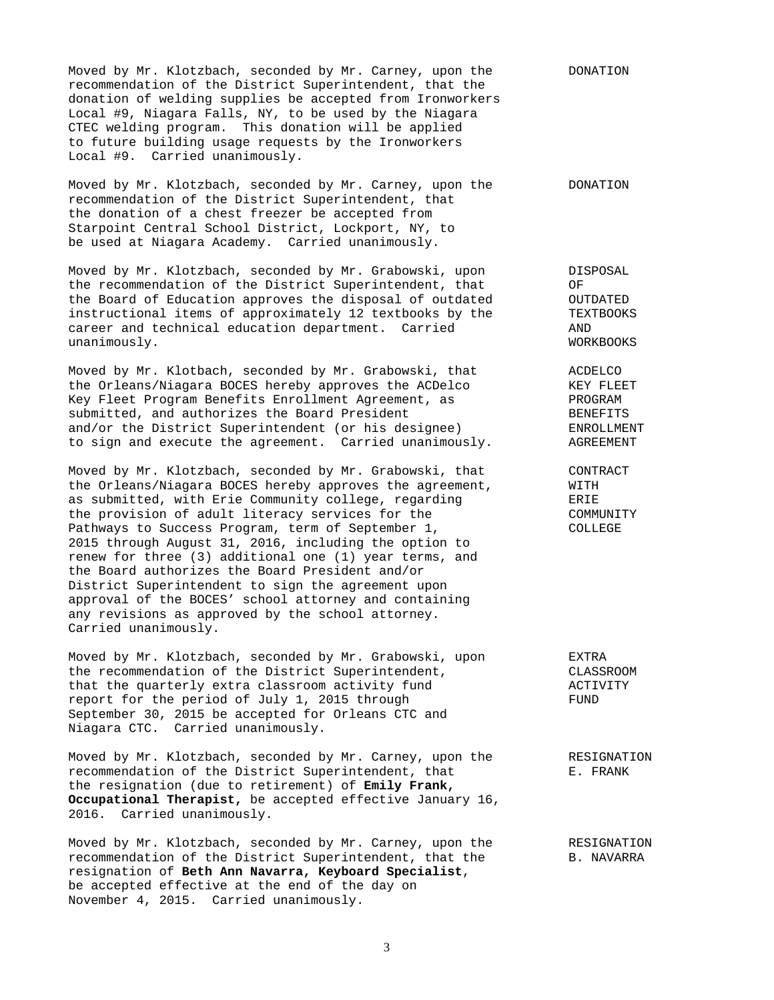Moved by Mr. Klotzbach, seconded by Mr. Carney, upon the DONATION recommendation of the District Superintendent, that the donation of welding supplies be accepted from Ironworkers Local #9, Niagara Falls, NY, to be used by the Niagara CTEC welding program. This donation will be applied to future building usage requests by the Ironworkers Local #9. Carried unanimously.

Moved by Mr. Klotzbach, seconded by Mr. Carney, upon the DONATION recommendation of the District Superintendent, that the donation of a chest freezer be accepted from Starpoint Central School District, Lockport, NY, to be used at Niagara Academy. Carried unanimously.

Moved by Mr. Klotzbach, seconded by Mr. Grabowski, upon DISPOSAL the recommendation of the District Superintendent, that OF the Board of Education approves the disposal of outdated OUTDATED instructional items of approximately 12 textbooks by the TEXTBOOKS career and technical education department. Carried AND unanimously. Workers and the contract of the contract of the contract of the contract of the contract of the contract of the contract of the contract of the contract of the contract of the contract of the contract of the c

Moved by Mr. Klotbach, seconded by Mr. Grabowski, that ACDELCO noved by m. Nicobach, become by the community of the ACDelco KEY FLEET Key Fleet Program Benefits Enrollment Agreement, as The PROGRAM submitted, and authorizes the Board President<br>and/or the District Superintendent (or his designee) BINROLLMENT and/or the District Superintendent (or his designee) to sign and execute the agreement. Carried unanimously. AGREEMENT

Moved by Mr. Klotzbach, seconded by Mr. Grabowski, that CONTRACT<br>the Orleans/Niagara BOCES hereby approves the agreement, WITH the Orleans/Niagara BOCES hereby approves the agreement,  $WITH$  as submitted, with Erie Community college, regarding  $ERIE$ as submitted, with Erie Community college, regarding the provision of adult literacy services for the COMMUNITY Pathways to Success Program, term of September 1, COLLEGE 2015 through August 31, 2016, including the option to renew for three (3) additional one (1) year terms, and the Board authorizes the Board President and/or District Superintendent to sign the agreement upon approval of the BOCES' school attorney and containing any revisions as approved by the school attorney. Carried unanimously.

Moved by Mr. Klotzbach, seconded by Mr. Grabowski, upon EXTRA<br>the recommendation of the District Superintendent, CLASSROOM the recommendation of the District Superintendent,<br>
that the quarterly extra classroom activity fund<br>
ACTIVITY that the quarterly extra classroom activity fund report for the period of July 1, 2015 through FUND September 30, 2015 be accepted for Orleans CTC and Niagara CTC. Carried unanimously.

Moved by Mr. Klotzbach, seconded by Mr. Carney, upon the RESIGNATION recommendation of the District Superintendent, that FRANK the resignation (due to retirement) of **Emily Frank, Occupational Therapist,** be accepted effective January 16, 2016. Carried unanimously.

Moved by Mr. Klotzbach, seconded by Mr. Carney, upon the RESIGNATION recommendation of the District Superintendent, that the B. NAVARRA resignation of **Beth Ann Navarra, Keyboard Specialist**, be accepted effective at the end of the day on November 4, 2015. Carried unanimously.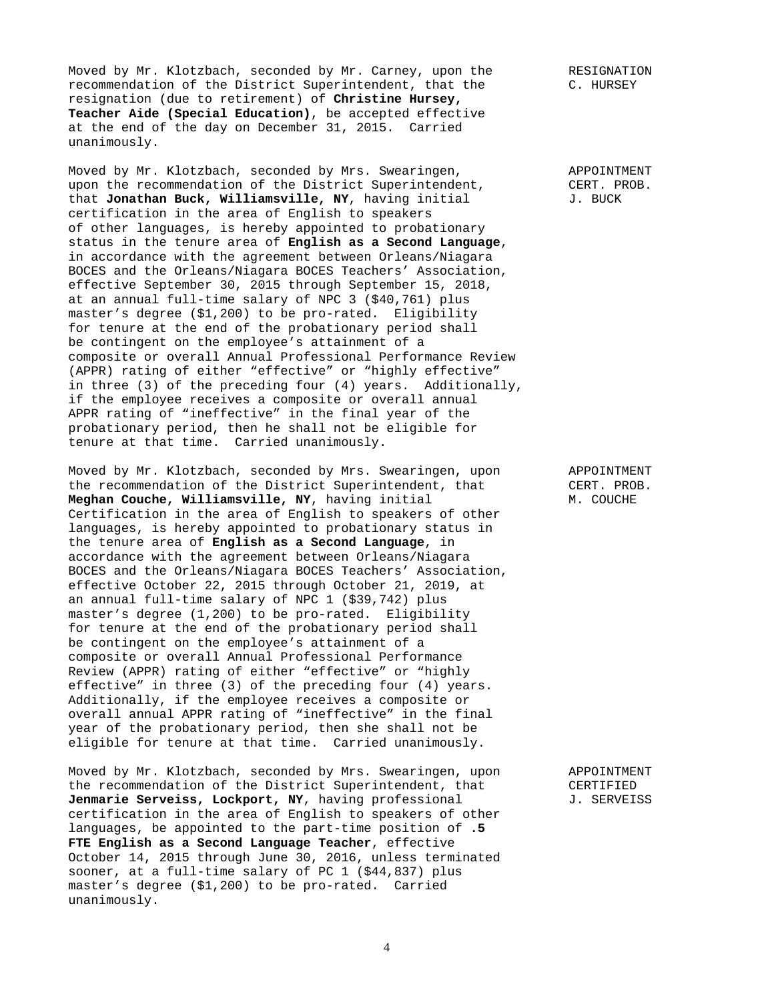Moved by Mr. Klotzbach, seconded by Mr. Carney, upon the RESIGNATION recommendation of the District Superintendent, that the C. HURSEY resignation (due to retirement) of **Christine Hursey, Teacher Aide (Special Education)**, be accepted effective at the end of the day on December 31, 2015. Carried unanimously.

Moved by Mr. Klotzbach, seconded by Mrs. Swearingen, APPOINTMENT upon the recommendation of the District Superintendent, CERT. PROB.<br>that Jonathan Buck, Williamsville, NY, having initial and J. BUCK that **Jonathan Buck, Williamsville, NY**, having initial certification in the area of English to speakers of other languages, is hereby appointed to probationary status in the tenure area of **English as a Second Language**, in accordance with the agreement between Orleans/Niagara BOCES and the Orleans/Niagara BOCES Teachers' Association, effective September 30, 2015 through September 15, 2018, at an annual full-time salary of NPC 3 (\$40,761) plus master's degree (\$1,200) to be pro-rated. Eligibility for tenure at the end of the probationary period shall be contingent on the employee's attainment of a composite or overall Annual Professional Performance Review (APPR) rating of either "effective" or "highly effective" in three (3) of the preceding four (4) years. Additionally, if the employee receives a composite or overall annual APPR rating of "ineffective" in the final year of the probationary period, then he shall not be eligible for tenure at that time. Carried unanimously.

Moved by Mr. Klotzbach, seconded by Mrs. Swearingen, upon APPOINTMENT the recommendation of the District Superintendent, that CERT. PROB. **Meghan Couche, Williamsville, NY**, having initial M. COUCHE Certification in the area of English to speakers of other languages, is hereby appointed to probationary status in the tenure area of **English as a Second Language**, in accordance with the agreement between Orleans/Niagara BOCES and the Orleans/Niagara BOCES Teachers' Association, effective October 22, 2015 through October 21, 2019, at an annual full-time salary of NPC 1 (\$39,742) plus master's degree (1,200) to be pro-rated. Eligibility for tenure at the end of the probationary period shall be contingent on the employee's attainment of a composite or overall Annual Professional Performance Review (APPR) rating of either "effective" or "highly effective" in three (3) of the preceding four (4) years. Additionally, if the employee receives a composite or overall annual APPR rating of "ineffective" in the final year of the probationary period, then she shall not be eligible for tenure at that time. Carried unanimously.

Moved by Mr. Klotzbach, seconded by Mrs. Swearingen, upon APPOINTMENT the recommendation of the District Superintendent, that CERTIFIED Jenmarie Serveiss, Lockport, NY, having professional J. SERVEISS certification in the area of English to speakers of other languages, be appointed to the part-time position of **.5 FTE English as a Second Language Teacher**, effective October 14, 2015 through June 30, 2016, unless terminated sooner, at a full-time salary of PC 1 (\$44,837) plus master's degree (\$1,200) to be pro-rated. Carried unanimously.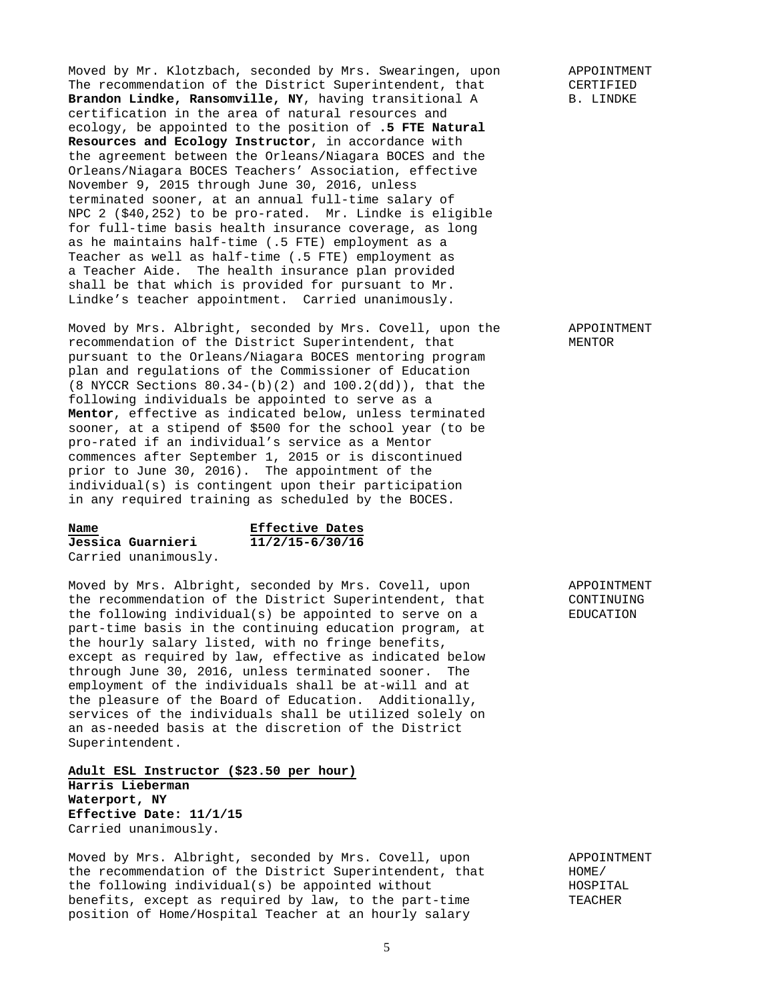Moved by Mr. Klotzbach, seconded by Mrs. Swearingen, upon APPOINTMENT The recommendation of the District Superintendent, that CERTIFIED **Brandon Lindke, Ransomville, NY**, having transitional A B. LINDKE certification in the area of natural resources and ecology, be appointed to the position of **.5 FTE Natural Resources and Ecology Instructor**, in accordance with the agreement between the Orleans/Niagara BOCES and the Orleans/Niagara BOCES Teachers' Association, effective November 9, 2015 through June 30, 2016, unless terminated sooner, at an annual full-time salary of NPC 2 (\$40,252) to be pro-rated. Mr. Lindke is eligible for full-time basis health insurance coverage, as long as he maintains half-time (.5 FTE) employment as a Teacher as well as half-time (.5 FTE) employment as a Teacher Aide. The health insurance plan provided shall be that which is provided for pursuant to Mr. Lindke's teacher appointment. Carried unanimously.

Moved by Mrs. Albright, seconded by Mrs. Covell, upon the APPOINTMENT recommendation of the District Superintendent, that MENTOR pursuant to the Orleans/Niagara BOCES mentoring program plan and regulations of the Commissioner of Education (8 NYCCR Sections 80.34-(b)(2) and 100.2(dd)), that the following individuals be appointed to serve as a **Mentor**, effective as indicated below, unless terminated sooner, at a stipend of \$500 for the school year (to be pro-rated if an individual's service as a Mentor commences after September 1, 2015 or is discontinued prior to June 30, 2016). The appointment of the individual(s) is contingent upon their participation in any required training as scheduled by the BOCES.

**Name Effective Dates** 

**Jessica Guarnieri 11/2/15-6/30/16** Carried unanimously.

Moved by Mrs. Albright, seconded by Mrs. Covell, upon APPOINTMENT the recommendation of the District Superintendent, that CONTINUING the following individual(s) be appointed to serve on a EDUCATION part-time basis in the continuing education program, at the hourly salary listed, with no fringe benefits, except as required by law, effective as indicated below through June 30, 2016, unless terminated sooner. The employment of the individuals shall be at-will and at the pleasure of the Board of Education. Additionally, services of the individuals shall be utilized solely on an as-needed basis at the discretion of the District Superintendent.

**Adult ESL Instructor (\$23.50 per hour) Harris Lieberman Waterport, NY Effective Date: 11/1/15** Carried unanimously.

Moved by Mrs. Albright, seconded by Mrs. Covell, upon and APPOINTMENT<br>the recommendation of the District Superintendent, that HOME/ the recommendation of the District Superintendent, that the following individual(s) be appointed without  $HOSPITAL$ benefits, except as required by law, to the part-time TEACHER position of Home/Hospital Teacher at an hourly salary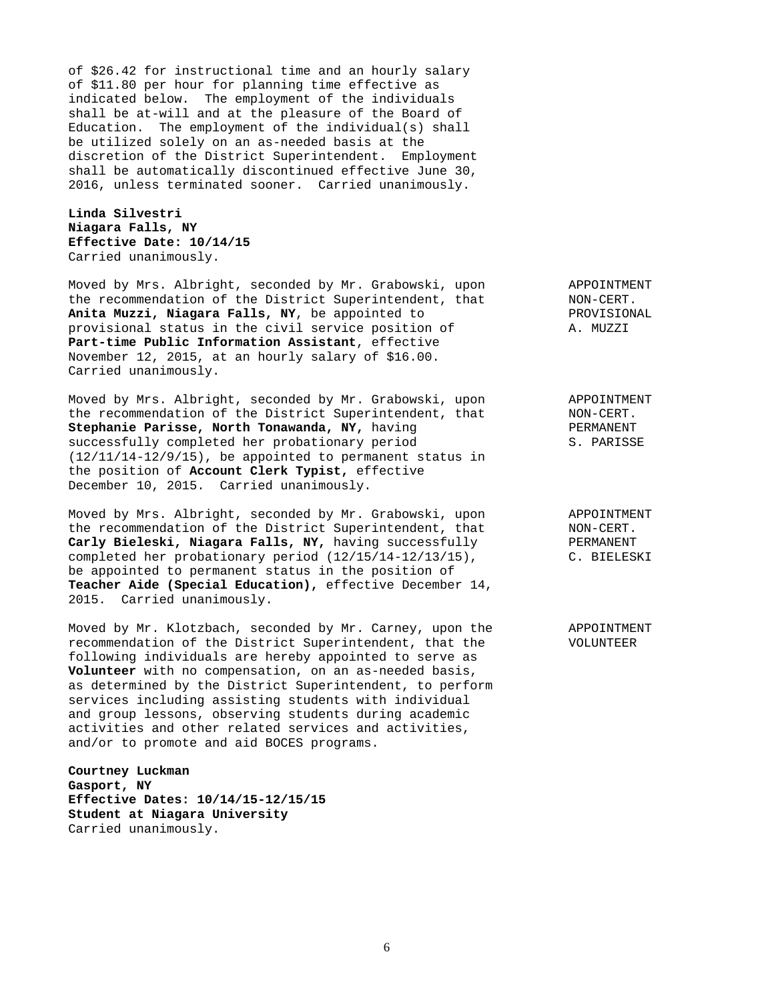of \$26.42 for instructional time and an hourly salary of \$11.80 per hour for planning time effective as indicated below. The employment of the individuals shall be at-will and at the pleasure of the Board of Education. The employment of the individual(s) shall be utilized solely on an as-needed basis at the discretion of the District Superintendent. Employment shall be automatically discontinued effective June 30, 2016, unless terminated sooner. Carried unanimously.

**Linda Silvestri Niagara Falls, NY Effective Date: 10/14/15** Carried unanimously.

Moved by Mrs. Albright, seconded by Mr. Grabowski, upon appoint APPOINTMENT<br>the recommendation of the District Superintendent, that MON-CERT. the recommendation of the District Superintendent, that The Reforment and NON-CERT.<br> **Anita Muzzi, Niagara Falls, NY**, be appointed to The PROVISIONAL Anita Muzzi, Niagara Falls, NY, be appointed to provisional status in the civil service position of A. MUZZI **Part-time Public Information Assistant**, effective November 12, 2015, at an hourly salary of \$16.00. Carried unanimously.

Moved by Mrs. Albright, seconded by Mr. Grabowski, upon APPOINTMENT the recommendation of the District Superintendent, that MON-CERT.<br> **Stephanie Parisse, North Tonawanda, NY,** having The RERMANENT Stephanie Parisse, North Tonawanda, NY, having successfully completed her probationary period S. PARISSE (12/11/14-12/9/15), be appointed to permanent status in the position of **Account Clerk Typist,** effective December 10, 2015. Carried unanimously.

Moved by Mrs. Albright, seconded by Mr. Grabowski, upon appoint APPOINTMENT<br>the recommendation of the District Superintendent, that MON-CERT. the recommendation of the District Superintendent, that Carly Bieleski, Niagara Falls, NY, having successfully PERMANENT completed her probationary period (12/15/14-12/13/15), C. BIELESKI be appointed to permanent status in the position of **Teacher Aide (Special Education),** effective December 14, 2015. Carried unanimously.

Moved by Mr. Klotzbach, seconded by Mr. Carney, upon the APPOINTMENT recommendation of the District Superintendent, that the VOLUNTEER following individuals are hereby appointed to serve as **Volunteer** with no compensation, on an as-needed basis, as determined by the District Superintendent, to perform services including assisting students with individual and group lessons, observing students during academic activities and other related services and activities, and/or to promote and aid BOCES programs.

**Courtney Luckman Gasport, NY Effective Dates: 10/14/15-12/15/15 Student at Niagara University** Carried unanimously.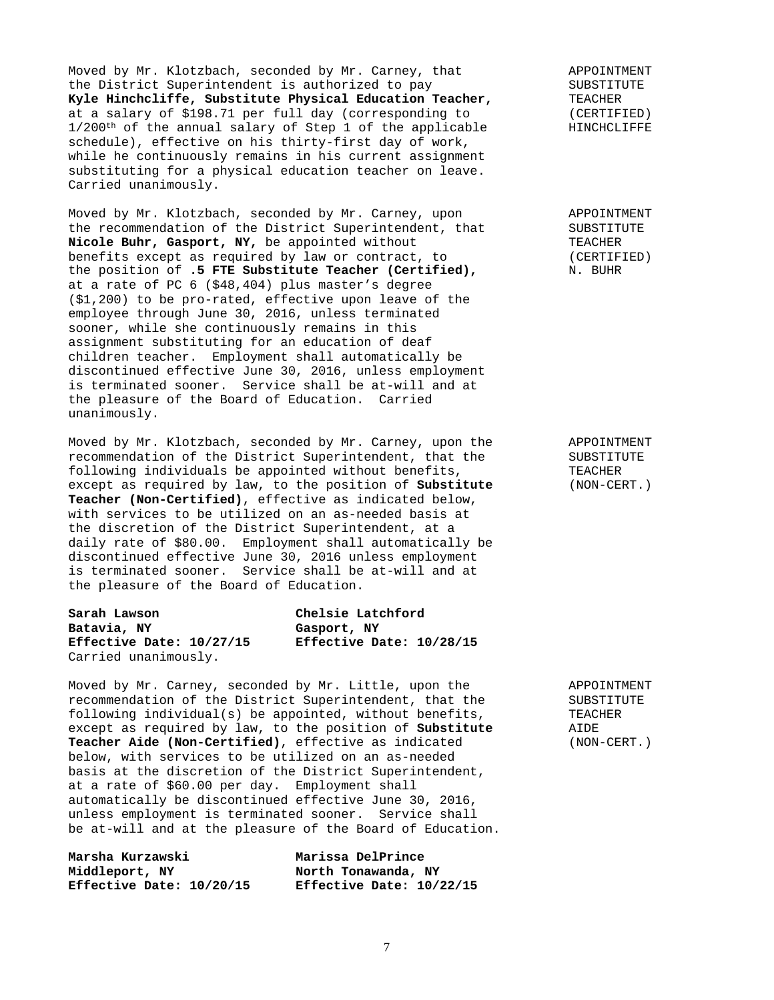Moved by Mr. Klotzbach, seconded by Mr. Carney, that APPOINTMENT the District Superintendent is authorized to pay SUBSTITUTE<br> **Kyle Hinchcliffe, Substitute Physical Education Teacher,** TEACHER Kyle Hinchcliffe, Substitute Physical Education Teacher, at a salary of \$198.71 per full day (corresponding to  $(CBRTIFIED)$ )<br>1/200<sup>th</sup> of the annual salary of Step 1 of the applicable  $\qquad \qquad \text{HINCHCLIFFE}$  $1/200$ <sup>th</sup> of the annual salary of Step 1 of the applicable schedule), effective on his thirty-first day of work, while he continuously remains in his current assignment substituting for a physical education teacher on leave. Carried unanimously.

Moved by Mr. Klotzbach, seconded by Mr. Carney, upon APPOINTMENT the recommendation of the District Superintendent, that SUBSTITUTE **Nicole Buhr, Gasport, NY,** be appointed without TEACHER benefits except as required by law or contract, to (CERTIFIED) the position of **.5 FTE Substitute Teacher (Certified),** N. BUHR at a rate of PC 6 (\$48,404) plus master's degree (\$1,200) to be pro-rated, effective upon leave of the employee through June 30, 2016, unless terminated sooner, while she continuously remains in this assignment substituting for an education of deaf children teacher. Employment shall automatically be discontinued effective June 30, 2016, unless employment is terminated sooner. Service shall be at-will and at the pleasure of the Board of Education. Carried unanimously.

Moved by Mr. Klotzbach, seconded by Mr. Carney, upon the APPOINTMENT recommendation of the District Superintendent, that the SUBSTITUTE<br>following individuals be appointed without benefits, TEACHER following individuals be appointed without benefits, except as required by law, to the position of **Substitute** (NON-CERT.) **Teacher (Non-Certified)**, effective as indicated below, with services to be utilized on an as-needed basis at the discretion of the District Superintendent, at a daily rate of \$80.00. Employment shall automatically be discontinued effective June 30, 2016 unless employment is terminated sooner. Service shall be at-will and at the pleasure of the Board of Education.

**Sarah Lawson Chelsie Latchford Batavia, NY Gasport, NY Effective Date: 10/27/15 Effective Date: 10/28/15** Carried unanimously.

Moved by Mr. Carney, seconded by Mr. Little, upon the APPOINTMENT recommendation of the District Superintendent, that the SUBSTITUTE following individual(s) be appointed, without benefits, TEACHER<br>except as required by law, to the position of **Substitute** AIDE except as required by law, to the position of Substitute **Teacher Aide (Non-Certified)**, effective as indicated (NON-CERT.) below, with services to be utilized on an as-needed basis at the discretion of the District Superintendent, at a rate of \$60.00 per day. Employment shall automatically be discontinued effective June 30, 2016, unless employment is terminated sooner. Service shall be at-will and at the pleasure of the Board of Education.

**Marsha Kurzawski Marissa DelPrince**  Middleport, NY North Tonawanda, NY **Effective Date: 10/20/15 Effective Date: 10/22/15**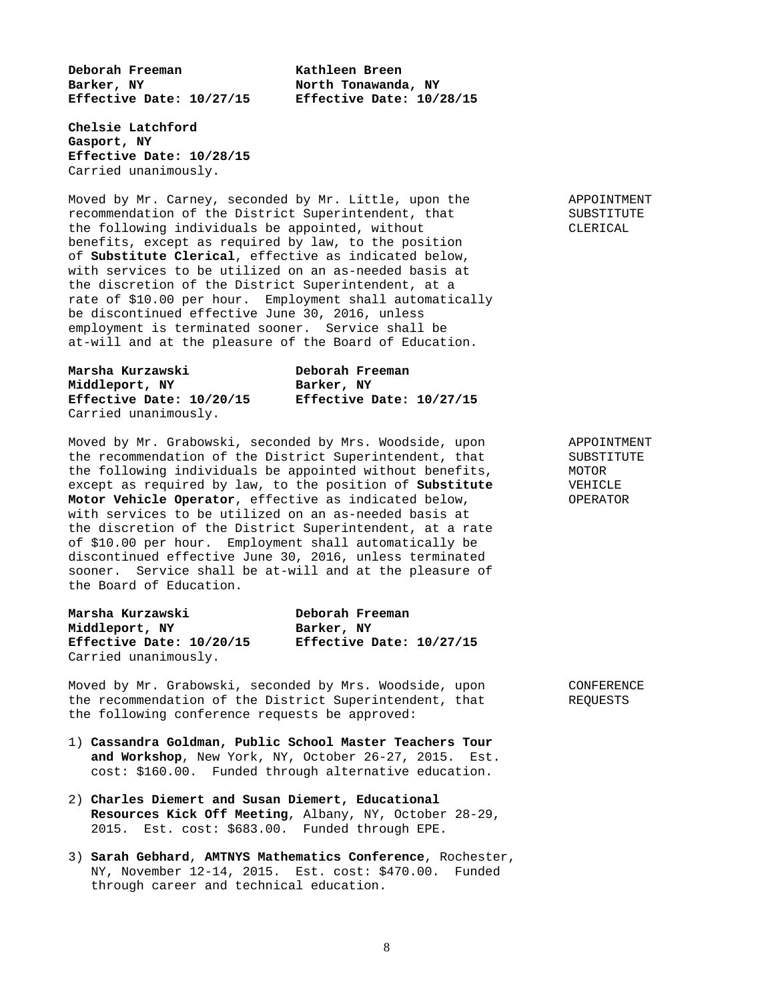**Deborah Freeman Kathleen Breen**  Barker, NY **North Tonawanda**, NY **Effective Date: 10/27/15 Effective Date: 10/28/15** 

**Chelsie Latchford Gasport, NY Effective Date: 10/28/15** Carried unanimously.

Moved by Mr. Carney, seconded by Mr. Little, upon the APPOINTMENT<br>recommendation of the District Superintendent, that SUBSTITUTE recommendation of the District Superintendent, that the following individuals be appointed, without CLERICAL benefits, except as required by law, to the position of **Substitute Clerical**, effective as indicated below, with services to be utilized on an as-needed basis at the discretion of the District Superintendent, at a rate of \$10.00 per hour. Employment shall automatically be discontinued effective June 30, 2016, unless employment is terminated sooner. Service shall be at-will and at the pleasure of the Board of Education.

**Marsha Kurzawski Deborah Freeman Middleport, NY Barker, NY Effective Date: 10/20/15 Effective Date: 10/27/15** Carried unanimously.

Moved by Mr. Grabowski, seconded by Mrs. Woodside, upon APPOINTMENT the recommendation of the District Superintendent, that SUBSTITUTE<br>the following individuals be appointed without benefits, MOTOR the following individuals be appointed without benefits, except as required by law, to the position of **Substitute** VEHICLE **Motor Vehicle Operator**, effective as indicated below, **OPERATOR** with services to be utilized on an as-needed basis at the discretion of the District Superintendent, at a rate of \$10.00 per hour. Employment shall automatically be discontinued effective June 30, 2016, unless terminated sooner. Service shall be at-will and at the pleasure of the Board of Education.

| Marsha Kurzawski         | Deborah Freeman          |  |
|--------------------------|--------------------------|--|
| Middleport, NY           | Barker, NY               |  |
| Effective Date: 10/20/15 | Effective Date: 10/27/15 |  |
| Carried unanimously.     |                          |  |

Moved by Mr. Grabowski, seconded by Mrs. Woodside, upon CONFERENCE the recommendation of the District Superintendent, that REQUESTS the following conference requests be approved:

- 1) **Cassandra Goldman, Public School Master Teachers Tour and Workshop**, New York, NY, October 26-27, 2015. Est. cost: \$160.00. Funded through alternative education.
- 2) **Charles Diemert and Susan Diemert, Educational Resources Kick Off Meeting**, Albany, NY, October 28-29, 2015. Est. cost: \$683.00. Funded through EPE.
- 3) **Sarah Gebhard**, **AMTNYS Mathematics Conference**, Rochester, NY, November 12-14, 2015. Est. cost: \$470.00. Funded through career and technical education.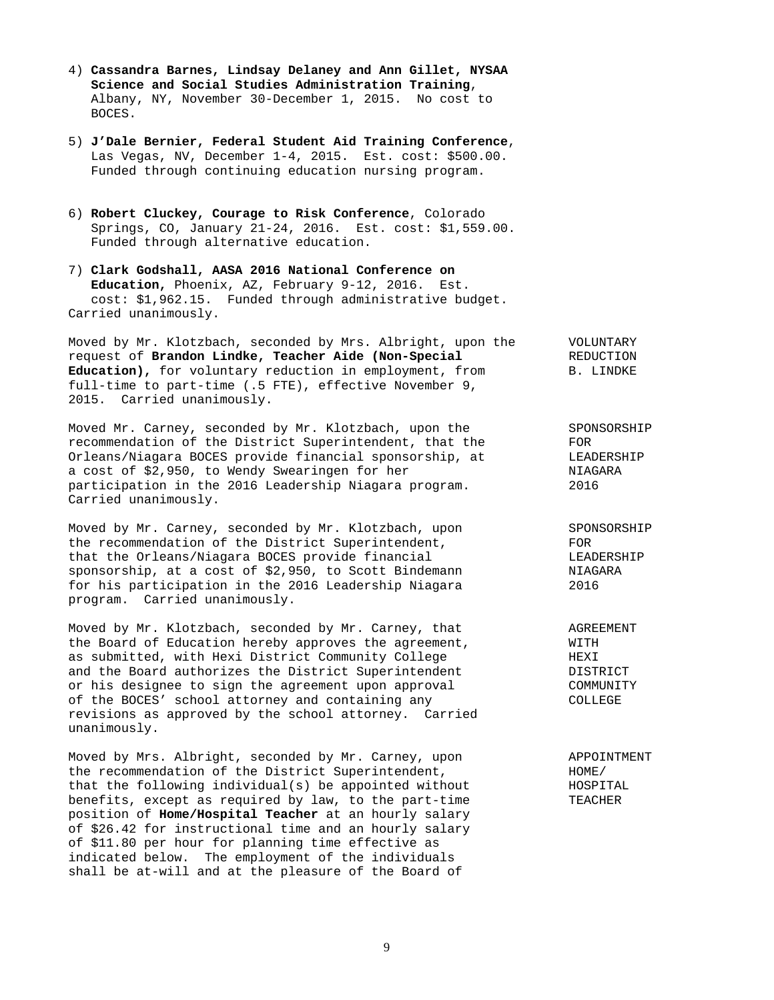- 4) **Cassandra Barnes, Lindsay Delaney and Ann Gillet, NYSAA Science and Social Studies Administration Training**, Albany, NY, November 30-December 1, 2015. No cost to BOCES.
- 5) **J'Dale Bernier, Federal Student Aid Training Conference**, Las Vegas, NV, December 1-4, 2015. Est. cost: \$500.00. Funded through continuing education nursing program.
- 6) **Robert Cluckey, Courage to Risk Conference**, Colorado Springs, CO, January 21-24, 2016. Est. cost: \$1,559.00. Funded through alternative education.
- 7) **Clark Godshall, AASA 2016 National Conference on Education,** Phoenix, AZ, February 9-12, 2016. Est. cost: \$1,962.15. Funded through administrative budget. Carried unanimously.

Moved by Mr. Klotzbach, seconded by Mrs. Albright, upon the VOLUNTARY request of **Brandon Lindke, Teacher Aide (Non-Special** REDUCTION Education), for voluntary reduction in employment, from B. LINDKE full-time to part-time (.5 FTE), effective November 9, 2015. Carried unanimously.

Moved Mr. Carney, seconded by Mr. Klotzbach, upon the SPONSORSHIP recommendation of the District Superintendent, that the FOR Orleans/Niagara BOCES provide financial sponsorship, at CLEADERSHIP<br>a cost of \$2,950, to Wendy Swearingen for her a cost of  $$2,950$ , to Wendy Swearingen for her participation in the 2016 Leadership Niagara program. 2016 Carried unanimously.

Moved by Mr. Carney, seconded by Mr. Klotzbach, upon SPONSORSHIP the recommendation of the District Superintendent, FOR that the Orleans/Niagara BOCES provide financial CEADERSHIP sponsorship, at a cost of \$2,950, to Scott Bindemann MIAGARA for his participation in the 2016 Leadership Niagara 2016 program. Carried unanimously.

Moved by Mr. Klotzbach, seconded by Mr. Carney, that AGREEMENT the Board of Education hereby approves the agreement, WITH as submitted, with Hexi District Community College The MEXI<br>and the Board authorizes the District Superintendent The DISTRICT and the Board authorizes the District Superintendent or his designee to sign the agreement upon approval COMMUNITY of the BOCES' school attorney and containing any COLLEGE revisions as approved by the school attorney. Carried unanimously.

Moved by Mrs. Albright, seconded by Mr. Carney, upon APPOINTMENT the recommendation of the District Superintendent,  $HOME$ / that the following individual(s) be appointed without HOSPITAL benefits, except as required by law, to the part-time TEACHER position of **Home/Hospital Teacher** at an hourly salary of \$26.42 for instructional time and an hourly salary of \$11.80 per hour for planning time effective as indicated below. The employment of the individuals shall be at-will and at the pleasure of the Board of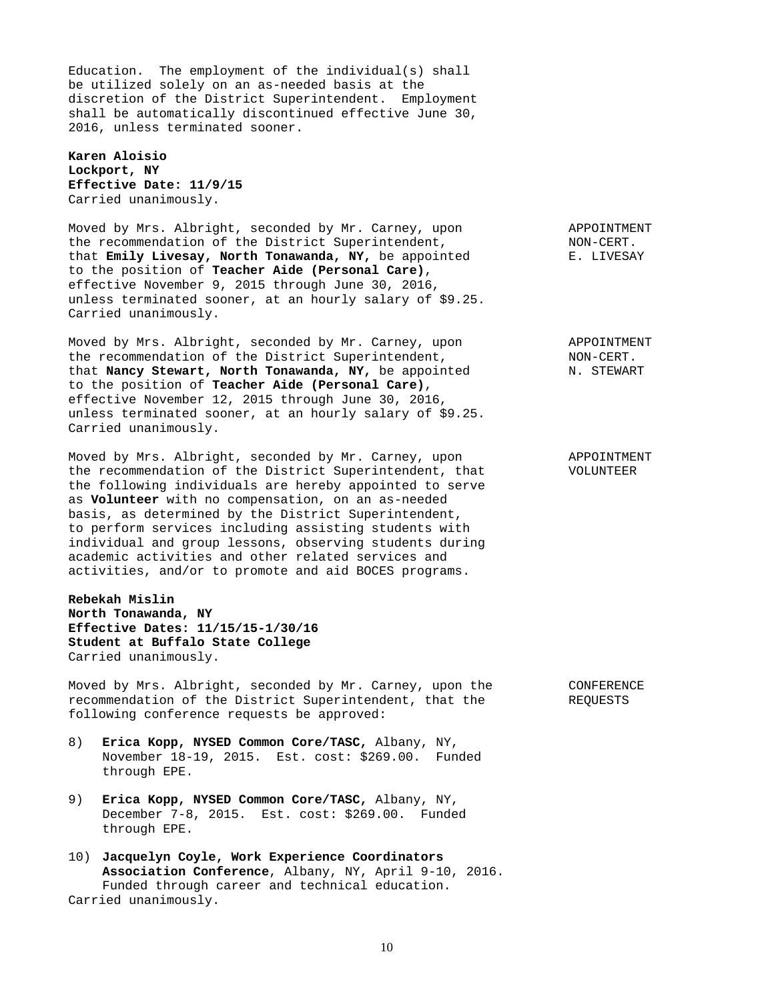Education. The employment of the individual(s) shall be utilized solely on an as-needed basis at the discretion of the District Superintendent. Employment shall be automatically discontinued effective June 30, 2016, unless terminated sooner.

**Karen Aloisio Lockport, NY Effective Date: 11/9/15** Carried unanimously.

Moved by Mrs. Albright, seconded by Mr. Carney, upon APPOINTMENT the recommendation of the District Superintendent, NON-CERT. that **Emily Livesay, North Tonawanda, NY,** be appointed E. LIVESAY to the position of **Teacher Aide (Personal Care)**, effective November 9, 2015 through June 30, 2016, unless terminated sooner, at an hourly salary of \$9.25. Carried unanimously.

Moved by Mrs. Albright, seconded by Mr. Carney, upon APPOINTMENT the recommendation of the District Superintendent, NON-CERT. that **Nancy Stewart, North Tonawanda, NY,** be appointed M. STEWART to the position of **Teacher Aide (Personal Care)**, effective November 12, 2015 through June 30, 2016, unless terminated sooner, at an hourly salary of \$9.25. Carried unanimously.

Moved by Mrs. Albright, seconded by Mr. Carney, upon APPOINTMENT the recommendation of the District Superintendent, that VOLUNTEER the following individuals are hereby appointed to serve as **Volunteer** with no compensation, on an as-needed basis, as determined by the District Superintendent, to perform services including assisting students with individual and group lessons, observing students during academic activities and other related services and activities, and/or to promote and aid BOCES programs.

**Rebekah Mislin North Tonawanda, NY Effective Dates: 11/15/15-1/30/16 Student at Buffalo State College** Carried unanimously.

Moved by Mrs. Albright, seconded by Mr. Carney, upon the CONFERENCE recommendation of the District Superintendent, that the REQUESTS following conference requests be approved:

- 8) **Erica Kopp, NYSED Common Core/TASC,** Albany, NY, November 18-19, 2015. Est. cost: \$269.00. Funded through EPE.
- 9) **Erica Kopp, NYSED Common Core/TASC,** Albany, NY, December 7-8, 2015. Est. cost: \$269.00. Funded through EPE.
- 10) **Jacquelyn Coyle, Work Experience Coordinators Association Conference**, Albany, NY, April 9-10, 2016. Funded through career and technical education. Carried unanimously.